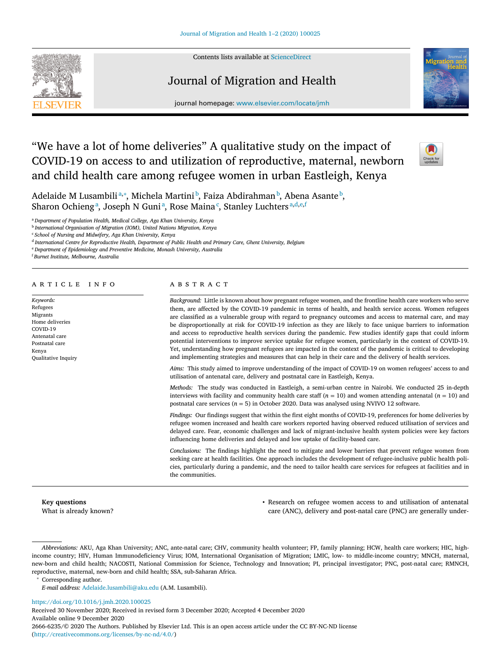

Contents lists available at [ScienceDirect](http://www.ScienceDirect.com)

# Journal of Migration and Health



journal homepage: [www.elsevier.com/locate/jmh](http://www.elsevier.com/locate/jmh)

# "We have a lot of home deliveries" A qualitative study on the impact of COVID-19 on access to and utilization of reproductive, maternal, newborn and child health care among refugee women in urban Eastleigh, Kenya



Adelaide M Lusambiliª,\*, Michela Martini <sup>b</sup>, Faiza Abdirahman <sup>b</sup>, Abena Asante <sup>b</sup>, Sharon Ochieng<sup>a</sup>, Joseph N Guni<sup>a</sup>, Rose Maina<sup>c</sup>, Stanley Luchters<sup>a,d,e,f</sup>

<sup>a</sup> *Department of Population Health, Medical College, Aga Khan University, Kenya*

<sup>e</sup> *Department of Epidemiology and Preventive Medicine, Monash University, Australia*

<sup>f</sup> *Burnet Institute, Melbourne, Australia*

# a r t i c l e i n f o

| Keywords:                  |
|----------------------------|
| Refugees                   |
| Migrants                   |
| Home deliveries            |
| COVID-19                   |
| Antenatal care             |
| Postnatal care             |
| Kenya                      |
| <b>Oualitative Inquiry</b> |

# A B S T R A C T

*Background:* Little is known about how pregnant refugee women, and the frontline health care workers who serve them, are affected by the COVID-19 pandemic in terms of health, and health service access. Women refugees are classified as a vulnerable group with regard to pregnancy outcomes and access to maternal care, and may be disproportionally at risk for COVID-19 infection as they are likely to face unique barriers to information and access to reproductive health services during the pandemic. Few studies identify gaps that could inform potential interventions to improve service uptake for refugee women, particularly in the context of COVID-19. Yet, understanding how pregnant refugees are impacted in the context of the pandemic is critical to developing and implementing strategies and measures that can help in their care and the delivery of health services.

*Aims:* This study aimed to improve understanding of the impact of COVID-19 on women refugees' access to and utilisation of antenatal care, delivery and postnatal care in Eastleigh, Kenya.

*Methods:* The study was conducted in Eastleigh, a semi-urban centre in Nairobi. We conducted 25 in-depth interviews with facility and community health care staff  $(n = 10)$  and women attending antenatal  $(n = 10)$  and postnatal care services (*n* = 5) in October 2020. Data was analysed using NVIVO 12 software.

*Findings:* Our findings suggest that within the first eight months of COVID-19, preferences for home deliveries by refugee women increased and health care workers reported having observed reduced utilisation of services and delayed care. Fear, economic challenges and lack of migrant-inclusive health system policies were key factors influencing home deliveries and delayed and low uptake of facility-based care.

*Conclusions:* The findings highlight the need to mitigate and lower barriers that prevent refugee women from seeking care at health facilities. One approach includes the development of refugee-inclusive public health policies, particularly during a pandemic, and the need to tailor health care services for refugees at facilities and in the communities.

**Key questions** What is already known?

• Research on refugee women access to and utilisation of antenatal care (ANC), delivery and post-natal care (PNC) are generally under-

*Abbreviations:* AKU, Aga Khan University; ANC, ante-natal care; CHV, community health volunteer; FP, family planning; HCW, health care workers; HIC, highincome country; HIV, Human Immunodeficiency Virus; IOM, International Organisation of Migration; LMIC, low- to middle-income country; MNCH, maternal, new-born and child health; NACOSTI, National Commission for Science, Technology and Innovation; PI, principal investigator; PNC, post-natal care; RMNCH, reproductive, maternal, new-born and child health; SSA, sub-Saharan Africa.

Corresponding author.

<https://doi.org/10.1016/j.jmh.2020.100025>

Received 30 November 2020; Received in revised form 3 December 2020; Accepted 4 December 2020 Available online 9 December 2020 2666-6235/© 2020 The Authors. Published by Elsevier Ltd. This is an open access article under the CC BY-NC-ND license [\(http://creativecommons.org/licenses/by-nc-nd/4.0/\)](http://creativecommons.org/licenses/by-nc-nd/4.0/)

<sup>b</sup> *International Organisation of Migration (IOM), United Nations Migration, Kenya*

<sup>c</sup> *School of Nursing and Midwifery, Aga Khan University, Kenya*

<sup>d</sup> *International Centre for Reproductive Health, Department of Public Health and Primary Care, Ghent University, Belgium*

*E-mail address:* [Adelaide.lusambili@aku.edu](mailto:Adelaide.lusambili@aku.edu) (A.M. Lusambili).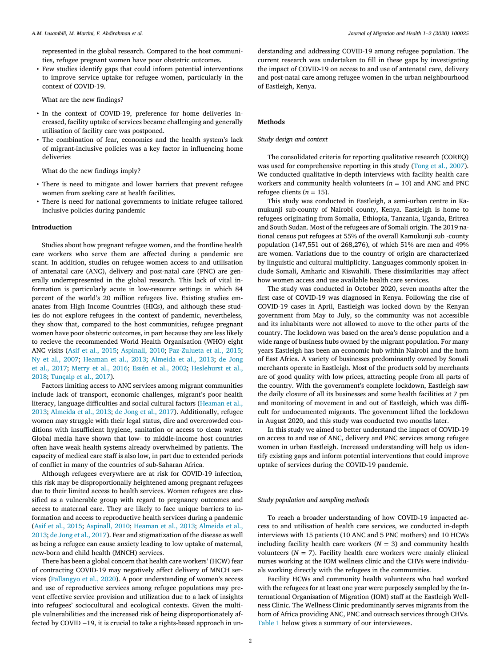represented in the global research. Compared to the host communities, refugee pregnant women have poor obstetric outcomes.

• Few studies identify gaps that could inform potential interventions to improve service uptake for refugee women, particularly in the context of COVID-19.

What are the new findings?

- In the context of COVID-19, preference for home deliveries increased, facility uptake of services became challenging and generally utilisation of facility care was postponed.
- The combination of fear, economics and the health system's lack of migrant-inclusive policies was a key factor in influencing home deliveries

What do the new findings imply?

- There is need to mitigate and lower barriers that prevent refugee women from seeking care at health facilities.
- There is need for national governments to initiate refugee tailored inclusive policies during pandemic

#### **Introduction**

Studies about how pregnant refugee women, and the frontline health care workers who serve them are affected during a pandemic are scant. In addition, studies on refugee women access to and utilisation of antenatal care (ANC), delivery and post-natal care (PNC) are generally underrepresented in the global research. This lack of vital information is particularly acute in low-resource settings in which 84 percent of the world's 20 million refugees live. Existing studies emanates from High Income Countries (HICs), and although these studies do not explore refugees in the context of pandemic, nevertheless, they show that, compared to the host communities, refugee pregnant women have poor obstetric outcomes, in part because they are less likely to recieve the recommended World Health Organisation (WHO) eight ANC visits (Asif et al., [2015;](#page-6-0) [Aspinall,](#page-6-0) 2010; [Paz-Zulueta](#page-6-0) et al., 2015; Ny et al., [2007;](#page-6-0) [Heaman](#page-6-0) et al., 2013; [Almeida](#page-6-0) et al., 2013; de Jong et al., 2017; [Merry](#page-6-0) et al., 2016; [Essén](#page-6-0) et al., 2002; [Heslehurst](#page-6-0) et al., 2018; [Tunçalp](#page-6-0) et al., 2017).

Factors limiting access to ANC services among migrant communities include lack of transport, economic challenges, migrant's poor health literacy, language difficulties and social cultural factors (Heaman et al., 2013; [Almeida](#page-6-0) et al., 2013; de Jong et al., [2017\)](#page-6-0). [Additionally,](#page-6-0) refugee women may struggle with their legal status, dire and overcrowded conditions with insufficient hygiene, sanitation or access to clean water. Global media have shown that low- to middle-income host countries often have weak health systems already overwhelmed by patients. The capacity of medical care staff is also low, in part due to extended periods of conflict in many of the countries of sub-Saharan Africa.

Although refugees everywhere are at risk for COVID-19 infection, this risk may be disproportionally heightened among pregnant refugees due to their limited access to health services. Women refugees are classified as a vulnerable group with regard to pregnancy outcomes and access to maternal care. They are likely to face unique barriers to information and access to reproductive health services during a pandemic (Asif et al., [2015;](#page-6-0) [Aspinall,](#page-6-0) 2010; [Heaman](#page-6-0) et al., 2013; Almeida et al., 2013; de Jong et al., [2017\)](#page-6-0). Fear and [stigmatization](#page-6-0) of the disease as well as being a refugee can cause anxiety leading to low uptake of maternal, new-born and child health (MNCH) services.

There has been a global concern that health care workers' (HCW) fear of contracting COVID-19 may negatively affect delivery of MNCH services [\(Pallangyo](#page-6-0) et al., 2020). A poor understanding of women's access and use of reproductive services among refugee populations may prevent effective service provision and utilization due to a lack of insights into refugees' sociocultural and ecological contexts. Given the multiple vulnerabilities and the increased risk of being disproportionately affected by COVID −19, it is crucial to take a rights-based approach in understanding and addressing COVID-19 among refugee population. The current research was undertaken to fill in these gaps by investigating the impact of COVID-19 on access to and use of antenatal care, delivery and post-natal care among refugee women in the urban neighbourhood of Eastleigh, Kenya.

#### **Methods**

#### *Study design and context*

The consolidated criteria for reporting qualitative research (COREQ) was used for comprehensive reporting in this study (Tong et al., [2007\)](#page-6-0). We conducted qualitative in-depth interviews with facility health care workers and community health volunteers  $(n = 10)$  and ANC and PNC refugee clients  $(n = 15)$ .

This study was conducted in Eastleigh, a semi-urban centre in Kamukunji sub-county of Nairobi county, Kenya. Eastleigh is home to refugees originating from Somalia, Ethiopia, Tanzania, Uganda, Eritrea and South Sudan. Most of the refugees are of Somali origin. The 2019 national census put refugees at 55% of the overall Kamukunji sub -county population (147,551 out of 268,276), of which 51% are men and 49% are women. Variations due to the country of origin are characterized by linguistic and cultural multiplicity. Languages commonly spoken include Somali, Amharic and Kiswahili. These dissimilarities may affect how women access and use available health care services.

The study was conducted in October 2020, seven months after the first case of COVID-19 was diagnosed in Kenya. Following the rise of COVID-19 cases in April, Eastleigh was locked down by the Kenyan government from May to July, so the community was not accessible and its inhabitants were not allowed to move to the other parts of the country. The lockdown was based on the area's dense population and a wide range of business hubs owned by the migrant population. For many years Eastleigh has been an economic hub within Nairobi and the horn of East Africa. A variety of businesses predominantly owned by Somali merchants operate in Eastleigh. Most of the products sold by merchants are of good quality with low prices, attracting people from all parts of the country. With the government's complete lockdown, Eastleigh saw the daily closure of all its businesses and some health facilities at 7 pm and monitoring of movement in and out of Eastleigh, which was difficult for undocumented migrants. The government lifted the lockdown in August 2020, and this study was conducted two months later.

In this study we aimed to better understand the impact of COVID-19 on access to and use of ANC, delivery and PNC services among refugee women in urban Eastleigh. Increased understanding will help us identify existing gaps and inform potential interventions that could improve uptake of services during the COVID-19 pandemic.

#### *Study population and sampling methods*

To reach a broader understanding of how COVID-19 impacted access to and utilisation of health care services, we conducted in-depth interviews with 15 patients (10 ANC and 5 PNC mothers) and 10 HCWs including facility health care workers  $(N = 3)$  and community health volunteers  $(N = 7)$ . Facility health care workers were mainly clinical nurses working at the IOM wellness clinic and the CHVs were individuals working directly with the refugees in the communities.

Facility HCWs and community health volunteers who had worked with the refugees for at least one year were purposely sampled by the International Organisation of Migration (IOM) staff at the Eastleigh Wellness Clinic. The Wellness Clinic predominantly serves migrants from the horn of Africa providing ANC, PNC and outreach services through CHVs. [Table](#page-2-0) 1 below gives a summary of our interviewees.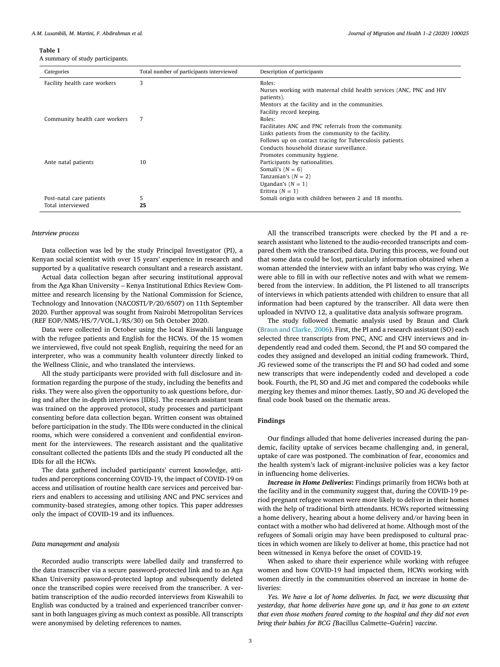<span id="page-2-0"></span>**Table 1**

A summary of study participants.

| Categories                    | Total number of participants interviewed | Description of participants                                          |
|-------------------------------|------------------------------------------|----------------------------------------------------------------------|
| Facility health care workers  | 3                                        | Roles:                                                               |
|                               |                                          | Nurses working with maternal child health services (ANC, PNC and HIV |
|                               |                                          | patients).                                                           |
|                               |                                          | Mentors at the facility and in the communities.                      |
|                               |                                          | Facility record keeping.                                             |
| Community health care workers | 7                                        | Roles:                                                               |
|                               |                                          | Facilitates ANC and PNC referrals from the community.                |
|                               |                                          | Links patients from the community to the facility.                   |
|                               |                                          | Follows up on contact tracing for Tuberculosis patients.             |
|                               |                                          | Conducts household disease surveillance.                             |
|                               |                                          | Promotes community hygiene.                                          |
| Ante natal patients           | 10                                       | Participants by nationalities.                                       |
|                               |                                          | Somali's $(N = 6)$                                                   |
|                               |                                          | Tanzanian's $(N = 2)$                                                |
|                               |                                          | Ugandan's $(N = 1)$                                                  |
|                               |                                          | Eritrea $(N = 1)$                                                    |
| Post-natal care patients      | 5                                        | Somali origin with children between 2 and 18 months.                 |
| Total interviewed             | 25                                       |                                                                      |

#### *Interview process*

Data collection was led by the study Principal Investigator (PI), a Kenyan social scientist with over 15 years' experience in research and supported by a qualitative research consultant and a research assistant.

Actual data collection began after securing institutional approval from the Aga Khan University – Kenya Institutional Ethics Review Committee and research licensing by the National Commission for Science, Technology and Innovation (NACOSTI/P/20/6507) on 11th September 2020. Further approval was sought from Nairobi Metropolitan Services (REF EOP/NMS/HS/7/VOL.1/RS/30) on 5th October 2020.

Data were collected in October using the local Kiswahili language with the refugee patients and English for the HCWs. Of the 15 women we interviewed, five could not speak English, requiring the need for an interpreter, who was a community health volunteer directly linked to the Wellness Clinic, and who translated the interviews.

All the study participants were provided with full disclosure and information regarding the purpose of the study, including the benefits and risks. They were also given the opportunity to ask questions before, during and after the in-depth interviews [IDIs]. The research assistant team was trained on the approved protocol, study processes and participant consenting before data collection began. Written consent was obtained before participation in the study. The IDIs were conducted in the clinical rooms, which were considered a convenient and confidential environment for the interviewees. The research assistant and the qualitative consultant collected the patients IDIs and the study PI conducted all the IDIs for all the HCWs.

The data gathered included participants' current knowledge, attitudes and perceptions concerning COVID-19, the impact of COVID-19 on access and utilisation of routine health care services and perceived barriers and enablers to accessing and utilising ANC and PNC services and community-based strategies, among other topics. This paper addresses only the impact of COVID-19 and its influences.

#### *Data management and analysis*

Recorded audio transcripts were labelled daily and transferred to the data transcriber via a secure password-protected link and to an Aga Khan University password-protected laptop and subsequently deleted once the transcribed copies were received from the transcriber. A verbatim transcription of the audio recorded interviews from Kiswahili to English was conducted by a trained and experienced trancriber conversant in both languages giving as much context as possible. All transcripts were anonymised by deleting references to names.

All the transcribed transcripts were checked by the PI and a research assistant who listened to the audio-recorded transcripts and compared them with the transcribed data. During this process, we found out that some data could be lost, particularly information obtained when a woman attended the interview with an infant baby who was crying. We were able to fill in with our reflective notes and with what we remembered from the interview. In addition, the PI listened to all transcripts of interviews in which patients attended with children to ensure that all information had been captured by the transcriber. All data were then uploaded in NVIVO 12, a qualitative data analysis software program.

The study followed thematic analysis used by Braun and Clark (Braun and [Clarke,](#page-6-0) 2006). First, the PI and a research assistant (SO) each selected three transcripts from PNC, ANC and CHV interviews and independently read and coded them. Second, the PI and SO compared the codes they assigned and developed an initial coding framework. Third, JG reviewed some of the transcripts the PI and SO had coded and some new transcripts that were independently coded and developed a code book. Fourth, the PI, SO and JG met and compared the codebooks while merging key themes and minor themes. Lastly, SO and JG developed the final code book based on the thematic areas.

# **Findings**

Our findings alluded that home deliveries increased during the pandemic, facility uptake of services became challenging and, in general, uptake of care was postponed. The combination of fear, economics and the health system's lack of migrant-inclusive policies was a key factor in influencing home deliveries.

*Increase in Home Deliveries***:** Findings primarily from HCWs both at the facility and in the community suggest that, during the COVID-19 period pregnant refugee women were more likely to deliver in their homes with the help of traditional birth attendants. HCWs reported witnessing a home delivery, hearing about a home delivery and/or having been in contact with a mother who had delivered at home. Although most of the refugees of Somali origin may have been predisposed to cultural practices in which women are likely to deliver at home, this practice had not been witnessed in Kenya before the onset of COVID-19.

When asked to share their experience while working with refugee women and how COVID-19 had impacted them, HCWs working with women directly in the communities observed an increase in home deliveries:

*Yes. We have a lot of home deliveries. In fact, we were discussing that yesterday, that home deliveries have gone up, and it has gone to an extent that even those mothers feared coming to the hospital and they did not even bring their babies for BCG [*Bacillus Calmette–Guérin] *vaccine*.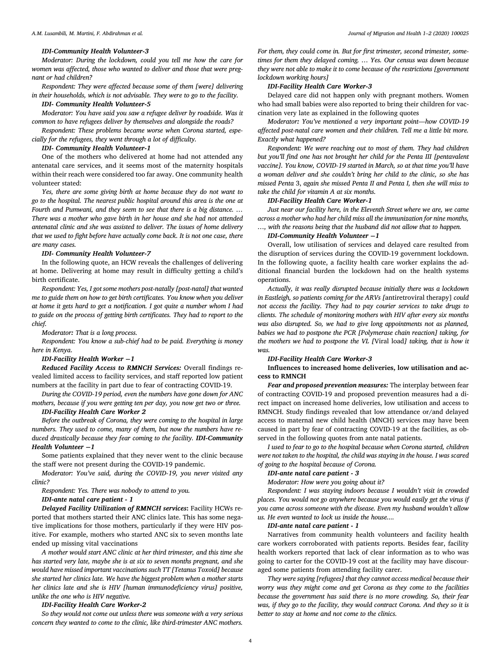#### *IDI-Community Health Volunteer-3*

*Moderator: During the lockdown, could you tell me how the care for women was affected, those who wanted to deliver and those that were pregnant or had children?*

*Respondent: They were affected because some of them [were] delivering in their households, which is not advisable. They were to go to the facility.*

#### *IDI- Community Health Volunteer-5*

*Moderator: You have said you saw a refugee deliver by roadside. Was it common to have refugees deliver by themselves and alongside the roads?*

*Respondent: These problems became worse when Corona started, especially for the refugees, they went through a lot of difficulty.*

#### *IDI- Community Health Volunteer-1*

One of the mothers who delivered at home had not attended any antenatal care services, and it seems most of the maternity hospitals within their reach were considered too far away. One community health volunteer stated:

*Yes, there are some giving birth at home because they do not want to go to the hospital. The nearest public hospital around this area is the one at Fourth and Pumwani, and they seem to see that there is a big distance. … There was a mother who gave birth in her house and she had not attended antenatal clinic and she was assisted to deliver. The issues of home delivery that we used to fight before have actually come back. It is not one case, there are many cases.*

#### *IDI- Community Health Volunteer-7*

In the following quote, an HCW reveals the challenges of delivering at home. Delivering at home may result in difficulty getting a child's birth certificate.

*Respondent: Yes, I got some mothers post-natally [post-natal] that wanted me to guide them on how to get birth certificates. You know when you deliver at home it gets hard to get a notification. I got quite a number whom I had to guide on the process of getting birth certificates. They had to report to the chief.*

#### *Moderator: That is a long process.*

*Respondent: You know a sub-chief had to be paid. Everything is money here in Kenya*.

# *IDI-Facility Health Worker* **−***1*

*Reduced Facility Access to RMNCH Services:* Overall findings revealed limited access to facility services, and staff reported low patient numbers at the facility in part due to fear of contracting COVID-19.

*During the COVID-19 period, even the numbers have gone down for ANC mothers, because if you were getting ten per day, you now get two or three.*

#### *IDI-Facility Health Care Worker 2*

*Before the outbreak of Corona, they were coming to the hospital in large numbers. They used to come, many of them, but now the numbers have reduced drastically because they fear coming to the facility. IDI-Community Health Volunteer* **−***1*

Some patients explained that they never went to the clinic because the staff were not present during the COVID-19 pandemic.

*Moderator: You've said, during the COVID-19, you never visited any clinic?*

*Respondent: Yes. There was nobody to attend to you.*

#### *IDI-ante natal care patient - 1*

*Delayed Facility Utilization of RMNCH services***:** Facility HCWs reported that mothers started their ANC clinics late. This has some negative implications for those mothers, particularly if they were HIV positive. For example, mothers who started ANC six to seven months late ended up missing vital vaccinations

*A mother would start ANC clinic at her third trimester, and this time she has started very late, maybe she is at six to seven months pregnant, and she would have missed important vaccinations such TT [Tetanus Toxoid] because she started her clinics late. We have the biggest problem when a mother starts her clinics late and she is HIV [human immunodeficiency virus] positive, unlike the one who is HIV negative.*

#### *IDI-Facility Health Care Worker-2*

*So they would not come out unless there was someone with a very serious concern they wanted to come to the clinic, like third-trimester ANC mothers.*

*For them, they could come in. But for first trimester, second trimester, sometimes for them they delayed coming. … Yes. Our census was down because they were not able to make it to come because of the restrictions [government lockdown working hours]*

#### *IDI-Facility Health Care Worker-3*

Delayed care did not happen only with pregnant mothers. Women who had small babies were also reported to bring their children for vaccination very late as explained in the following quotes

*Moderator: You've mentioned a very important point—how COVID-19 affected post-natal care women and their children. Tell me a little bit more. Exactly what happened?*

*Respondent: We were reaching out to most of them. They had children but you'll find one has not brought her child for the Penta III [pentavalent vaccine]. You know, COVID-19 started in March, so at that time you'll have a woman deliver and she couldn't bring her child to the clinic, so she has missed Penta* 3, *again she missed Penta II and Penta I, then she will miss to take the child for vitamin A at six months.*

#### *IDI-Facility Health Care Worker-1*

*Just near our facility here, in the Eleventh Street where we are, we came across a mother who had her child miss all the immunization for nine months, …, with the reasons being that the husband did not allow that to happen.*

#### *IDI-Community Health Volunteer* **−***1*

Overall, low utilisation of services and delayed care resulted from the disruption of services during the COVID-19 government lockdown. In the following quote, a facility health care worker explains the additional financial burden the lockdown had on the health systems operations.

*Actually, it was really disrupted because initially there was a lockdown in Eastleigh, so patients coming for the ARVs [*antiretroviral therapy] *could not access the facility. They had to pay courier services to take drugs to clients. The schedule of monitoring mothers with HIV after every six months was also disrupted. So, we had to give long appointments not as planned, babies we had to postpone the PCR [Polymerase chain reaction] taking, for the mothers we had to postpone the VL [*Viral load*] taking, that is how it was.*

#### *IDI-Facility Health Care Worker-3*

**Influences to increased home deliveries, low utilisation and access to RMNCH**

*Fear and proposed prevention measures:* The interplay between fear of contracting COVID-19 and proposed prevention measures had a direct impact on increased home deliveries, low utilisation and access to RMNCH. Study findings revealed that low attendance or/and delayed access to maternal new child health (MNCH) services may have been caused in part by fear of contracting COVID-19 at the facilities, as observed in the following quotes from ante natal patients.

*I used to fear to go to the hospital because when Corona started, children were not taken to the hospital, the child was staying in the house. I was scared of going to the hospital because of Corona.*

# *IDI-ante natal care patient - 3*

*Moderator: How were you going about it?*

*Respondent: I was staying indoors because I wouldn't visit in crowded places. You would not go anywhere because you would easily get the virus if you came across someone with the disease. Even my husband wouldn't allow us. He even wanted to lock us inside the house....*

#### *IDI-ante natal care patient - 1*

Narratives from community health volunteers and facility health care workers corroborated with patients reports. Besides fear, facility health workers reported that lack of clear information as to who was going to carter for the COVID-19 cost at the facility may have discouraged some patients from attending facility carer.

*They were saying [refugees] that they cannot access medical because their worry was they might come and get Corona as they come to the facilities because the government has said there is no more crowding. So, their fear was, if they go to the facility, they would contract Corona. And they so it is better to stay at home and not come to the clinics.*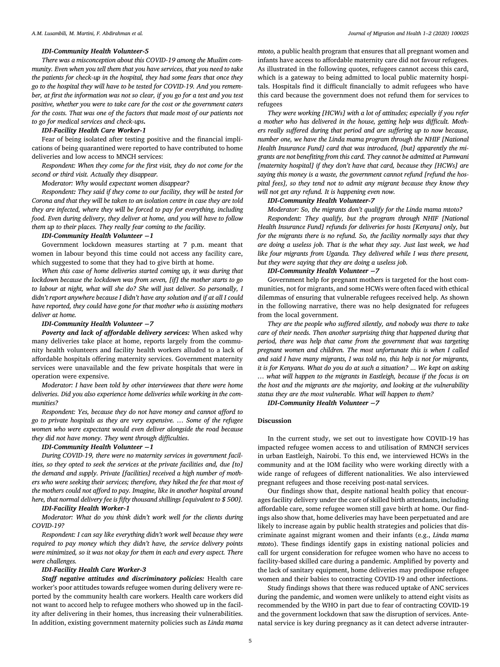#### *IDI-Community Health Volunteer-5*

*There was a misconception about this COVID-19 among the Muslim community. Even when you tell them that you have services, that you need to take the patients for check-up in the hospital, they had some fears that once they go to the hospital they will have to be tested for COVID-19. And you remember, at first the information was not so clear, if you go for a test and you test positive, whether you were to take care for the cost or the government caters for the costs. That was one of the factors that made most of our patients not to go for medical services and check-ups.*

#### *IDI-Facility Health Care Worker-1*

Fear of being isolated after testing positive and the financial implications of being quarantined were reported to have contributed to home deliveries and low access to MNCH services:

*Respondent: When they come for the first visit, they do not come for the second or third visit. Actually they disappear.*

#### *Moderator: Why would expectant women disappear?*

*Respondent: They said if they come to our facility, they will be tested for Corona and that they will be taken to an isolation centre in case they are told they are infected, where they will be forced to pay for everything, including food. Even during delivery, they deliver at home, and you will have to follow them up to their places. They really fear coming to the facility.*

## *IDI-Community Health Volunteer* **−***1*

Government lockdown measures starting at 7 p.m. meant that women in labour beyond this time could not access any facility care, which suggested to some that they had to give birth at home.

*When this case of home deliveries started coming up, it was during that lockdown because the lockdown was from seven, [if] the mother starts to go to labour at night, what will she do? She will just deliver. So personally, I didn't report anywhere because I didn't have any solution and if at all I could have reported, they could have gone for that mother who is assisting mothers deliver at home.*

#### *IDI-Community Health Volunteer* **−***7*

*Poverty and lack of affordable delivery services:* When asked why many deliveries take place at home, reports largely from the community health volunteers and facility health workers alluded to a lack of affordable hospitals offering maternity services. Government maternity services were unavailable and the few private hospitals that were in operation were expensive.

*Moderator: I have been told by other interviewees that there were home deliveries. Did you also experience home deliveries while working in the communities?*

*Respondent: Yes, because they do not have money and cannot afford to go to private hospitals as they are very expensive. … Some of the refugee women who were expectant would even deliver alongside the road because they did not have money. They went through difficulties*.

#### *IDI-Community Health Volunteer* **−***1*

*During COVID-19, there were no maternity services in government facilities, so they opted to seek the services at the private facilities and, due [to] the demand and supply. Private [facilities] received a high number of mothers who were seeking their services; therefore, they hiked the fee that most of the mothers could not afford to pay. Imagine, like in another hospital around here, that normal delivery fee is fifty thousand shillings [equivalent to \$ 500].*

# *IDI-Facility Health Worker-1*

*Moderator: What do you think didn't work well for the clients during COVID-19?*

*Respondent: I can say like everything didn't work well because they were required to pay money which they didn't have, the service delivery points were minimized, so it was not okay for them in each and every aspect. There were challenges.*

# *IDI-Facility Health Care Worker-3*

*Staff negative attitudes and discriminatory policies:* Health care worker's poor attitudes towards refugee women during delivery were reported by the community health care workers. Health care workers did not want to accord help to refugee mothers who showed up in the facility after delivering in their homes, thus increasing their vulnerabilities. In addition, existing government maternity policies such as *Linda mama* *mtoto,* a public health program that ensures that all pregnant women and infants have access to affordable maternity care did not favour refugees. As illustrated in the following quotes, refugees cannot access this card, which is a gateway to being admitted to local public maternity hospitals. Hospitals find it difficult financially to admit refugees who have this card because the government does not refund them for services to refugees

*They were working [HCWs] with a lot of attitudes; especially if you refer a mother who has delivered in the house, getting help was difficult. Mothers really suffered during that period and are suffering up to now because, number one, we have the Linda mama program through the NHIF [National Health Insurance Fund] card that was introduced, [but] apparently the migrants are not benefiting from this card. They cannot be admitted at Pumwani [maternity hospital] if they don't have that card, because they [HCWs] are saying this money is a waste, the government cannot refund [refund the hospital fees], so they tend not to admit any migrant because they know they will not get any refund. It is happening even now.*

#### *IDI-Community Health Volunteer-7*

*Moderator: So, the migrants don't qualify for the Linda mama mtoto? Respondent: They qualify, but the program through NHIF [National Health Insurance Fund] refunds for deliveries for hosts [Kenyans] only, but for the migrants there is no refund. So, the facility normally says that they are doing a useless job. That is the what they say. Just last week, we had like four migrants from Uganda. They delivered while I was there present, but they were saying that they are doing a useless job.*

# *IDI-Community Health Volunteer* **−***7*

Government help for pregnant mothers is targeted for the host communities, not for migrants, and some HCWs were often faced with ethical dilemmas of ensuring that vulnerable refugees received help. As shown in the following narrative, there was no help designated for refugees from the local government.

*They are the people who suffered silently, and nobody was there to take care of their needs. Then another surprising thing that happened during that period, there was help that came from the government that was targeting pregnant women and children. The most unfortunate this is when I called and said I have many migrants, I was told no, this help is not for migrants, it is for Kenyans. What do you do at such a situation?* ... *We kept on asking … what will happen to the migrants in Eastleigh, because if the focus is on the host and the migrants are the majority, and looking at the vulnerability status they are the most vulnerable. What will happen to them?*

*IDI-Community Health Volunteer* **−***7*

#### **Discussion**

In the current study, we set out to investigate how COVID-19 has impacted refugee women access to and utilisation of RMNCH services in urban Eastleigh, Nairobi. To this end, we interviewed HCWs in the community and at the IOM facility who were working directly with a wide range of refugees of different nationalities. We also interviewed pregnant refugees and those receiving post-natal services.

Our findings show that, despite national health policy that encourages facility delivery under the care of skilled birth attendants, including affordable care, some refugee women still gave birth at home. Our findings also show that, home deliveries may have been perpetuated and are likely to increase again by public health strategies and policies that discriminate against migrant women and their infants (e.g., *Linda mama mtot*o). These findings identify gaps in existing national policies and call for urgent consideration for refugee women who have no access to facility-based skilled care during a pandemic. Amplified by poverty and the lack of sanitary equipment, home deliveries may predispose refugee women and their babies to contracting COVID-19 and other infections.

Study findings shows that there was reduced uptake of ANC services during the pandemic, and women were unlikely to attend eight visits as recommended by the WHO in part due to fear of contracting COVID-19 and the government lockdown that saw the disruption of services. Antenatal service is key during pregnancy as it can detect adverse intrauter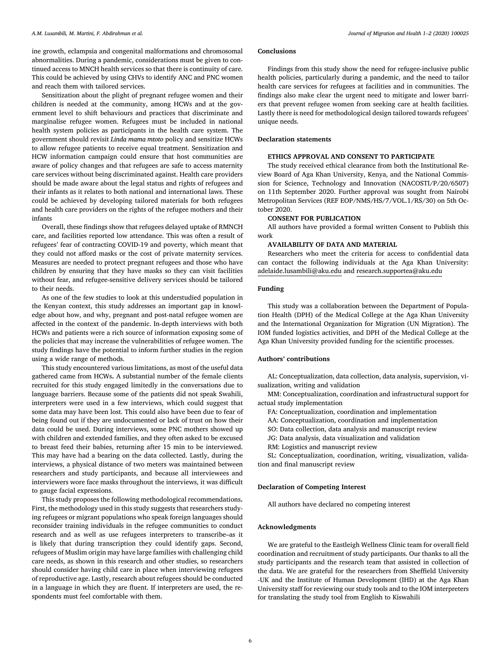ine growth, eclampsia and congenital malformations and chromosomal abnormalities. During a pandemic, considerations must be given to continued access to MNCH health services so that there is continuity of care. This could be achieved by using CHVs to identify ANC and PNC women and reach them with tailored services.

Sensitization about the plight of pregnant refugee women and their children is needed at the community, among HCWs and at the government level to shift behaviours and practices that discriminate and marginalise refugee women. Refugees must be included in national health system policies as participants in the health care system. The government should revisit *Linda mama mtoto* policy and sensitize HCWs to allow refugee patients to receive equal treatment. Sensitization and HCW information campaign could ensure that host communities are aware of policy changes and that refugees are safe to access maternity care services without being discriminated against. Health care providers should be made aware about the legal status and rights of refugees and their infants as it relates to both national and international laws. These could be achieved by developing tailored materials for both refugees and health care providers on the rights of the refugee mothers and their infants

Overall, these findings show that refugees delayed uptake of RMNCH care, and facilities reported low attendance. This was often a result of refugees' fear of contracting COVID-19 and poverty, which meant that they could not afford masks or the cost of private maternity services. Measures are needed to protect pregnant refugees and those who have children by ensuring that they have masks so they can visit facilities without fear, and refugee-sensitive delivery services should be tailored to their needs.

As one of the few studies to look at this understudied population in the Kenyan context, this study addresses an important gap in knowledge about how, and why, pregnant and post-natal refugee women are affected in the context of the pandemic. In-depth interviews with both HCWs and patients were a rich source of information exposing some of the policies that may increase the vulnerabilities of refugee women. The study findings have the potential to inform further studies in the region using a wide range of methods.

This study encountered various limitations, as most of the useful data gathered came from HCWs**.** A substantial number of the female clients recruited for this study engaged limitedly in the conversations due to language barriers. Because some of the patients did not speak Swahili, interpreters were used in a few interviews, which could suggest that some data may have been lost. This could also have been due to fear of being found out if they are undocumented or lack of trust on how their data could be used. During interviews, some PNC mothers showed up with children and extended families, and they often asked to be excused to breast feed their babies, returning after 15 min to be interviewed. This may have had a bearing on the data collected. Lastly, during the interviews, a physical distance of two meters was maintained between researchers and study participants, and because all interviewees and interviewers wore face masks throughout the interviews, it was difficult to gauge facial expressions.

This study proposes the following methodological recommendations**.** First, the methodology used in this study suggests that researchers studying refugees or migrant populations who speak foreign languages should reconsider training individuals in the refugee communities to conduct research and as well as use refugees interpreters to transcribe–as it is likely that during transcription they could identify gaps. Second, refugees of Muslim origin may have large families with challenging child care needs, as shown in this research and other studies, so researchers should consider having child care in place when interviewing refugees of reproductive age. Lastly, research about refugees should be conducted in a language in which they are fluent. If interpreters are used, the respondents must feel comfortable with them.

# **Conclusions**

Findings from this study show the need for refugee-inclusive public health policies, particularly during a pandemic, and the need to tailor health care services for refugees at facilities and in communities. The findings also make clear the urgent need to mitigate and lower barriers that prevent refugee women from seeking care at health facilities. Lastly there is need for methodological design tailored towards refugees' unique needs.

#### **Declaration statements**

#### **ETHICS APPROVAL AND CONSENT TO PARTICIPATE**

The study received ethical clearance from both the Institutional Review Board of Aga Khan University, Kenya, and the National Commission for Science, Technology and Innovation (NACOSTI/P/20/6507) on 11th September 2020. Further approval was sought from Nairobi Metropolitan Services (REF EOP/NMS/HS/7/VOL.1/RS/30) on 5th October 2020.

#### **CONSENT FOR PUBLICATION**

All authors have provided a formal written Consent to Publish this work

#### **AVAILABILITY OF DATA AND MATERIAL**

Researchers who meet the criteria for access to confidential data can contact the following individuals at the Aga Khan University: adelaide.lusambili@aku.edu and research.supportea@aku.edu

#### **Funding**

This study was a collaboration between the Department of Population Health (DPH) of the Medical College at the Aga Khan University and the International Organization for Migration (UN Migration). The IOM funded logistics activities, and DPH of the Medical College at the Aga Khan University provided funding for the scientific processes.

# **Authors' contributions**

AL: Conceptualization, data collection, data analysis, supervision, visualization, writing and validation

MM: Conceptualization, coordination and infrastructural support for actual study implementation

FA: Conceptualization, coordination and implementation

AA: Conceptualization, coordination and implementation

SO: Data collection, data analysis and manuscript review

JG: Data analysis, data visualization and validation

RM: Logistics and manuscript review

SL: Conceptualization, coordination, writing, visualization, validation and final manuscript review

#### **Declaration of Competing Interest**

All authors have declared no competing interest

## **Acknowledgments**

We are grateful to the Eastleigh Wellness Clinic team for overall field coordination and recruitment of study participants. Our thanks to all the study participants and the research team that assisted in collection of the data. We are grateful for the researchers from Sheffield University -UK and the Institute of Human Development (IHD) at the Aga Khan University staff for reviewing our study tools and to the IOM interpreters for translating the study tool from English to Kiswahili